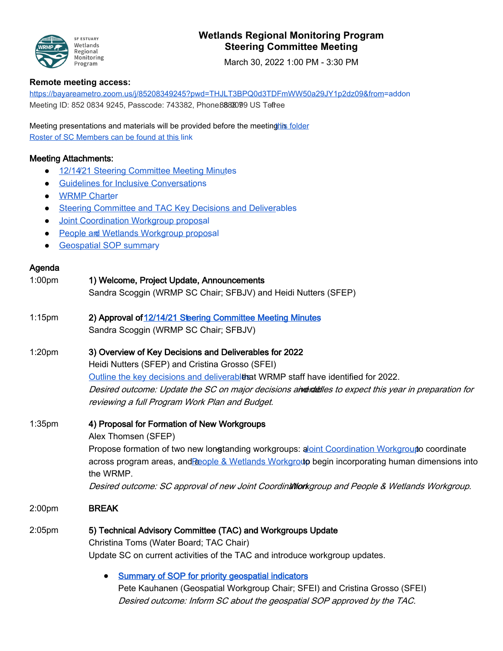

## **Wetlands Regional Monitoring Program Steering Committee Meeting**

March 30, 2022 1:00 PM - 3:30 PM

## **Remote meeting access:**

https://bayareametro.zoom.us/j/85208349245?pwd=THJLT3BPQ0d3TDFmWW50a29JY1p2dz09&from=addon Meeting ID: 852 0834 9245, Passcode: 743382, Phone 888 8099 US Tofree

Meeting presentations and materials will be provided before the meeting his folder Roster of SC Members can be found at this link

## Meeting Attachments:

- 12/14/21 Steering Committee Meeting Minutes
- Guidelines for Inclusive Conversations
- WRMP Charter
- Steering Committee and TAC Key Decisions and Deliverables
- Joint Coordination Workgroup proposal
- People and Wetlands Workgroup proposal
- Geospatial SOP summary

## Agenda

| 1:00 <sub>pm</sub> | 1) Welcome, Project Update, Announcements                                                                    |
|--------------------|--------------------------------------------------------------------------------------------------------------|
|                    | Sandra Scoggin (WRMP SC Chair; SFBJV) and Heidi Nutters (SFEP)                                               |
| $1:15$ pm          | 2) Approval of 12/14/21 Steering Committee Meeting Minutes                                                   |
|                    | Sandra Scoggin (WRMP SC Chair; SFBJV)                                                                        |
| 1:20 <sub>pm</sub> | 3) Overview of Key Decisions and Deliverables for 2022                                                       |
|                    | Heidi Nutters (SFEP) and Cristina Grosso (SFEI)                                                              |
|                    | Outline the key decisions and deliverablthat WRMP staff have identified for 2022.                            |
|                    | Desired outcome: Update the SC on major decisions aiver the sto expect this year in preparation for          |
|                    | reviewing a full Program Work Plan and Budget.                                                               |
| 1:35 <sub>pm</sub> | 4) Proposal for Formation of New Workgroups                                                                  |
|                    | Alex Thomsen (SFEP)                                                                                          |
|                    | Propose formation of two new longtanding workgroups: aloint Coordination Workgroupto coordinate              |
|                    | across program areas, and Repole & Wetlands Workgroup begin incorporating human dimensions into<br>the WRMP. |
|                    | Desired outcome: SC approval of new Joint Coordination and People & Wetlands Workgroup.                      |
| 2:00 <sub>pm</sub> | <b>BREAK</b>                                                                                                 |
| $2:05$ pm          | 5) Technical Advisory Committee (TAC) and Workgroups Update                                                  |
|                    | Christina Toms (Water Board; TAC Chair)                                                                      |
|                    | Update SC on current activities of the TAC and introduce workgroup updates.                                  |
|                    | <b>Summary of SOP for priority geospatial indicators</b>                                                     |
|                    | Pete Kauhanen (Geospatial Workgroup Chair; SFEI) and Cristina Grosso (SFEI)                                  |
|                    | Desired outcome: Inform SC about the geospatial SOP approved by the TAC.                                     |